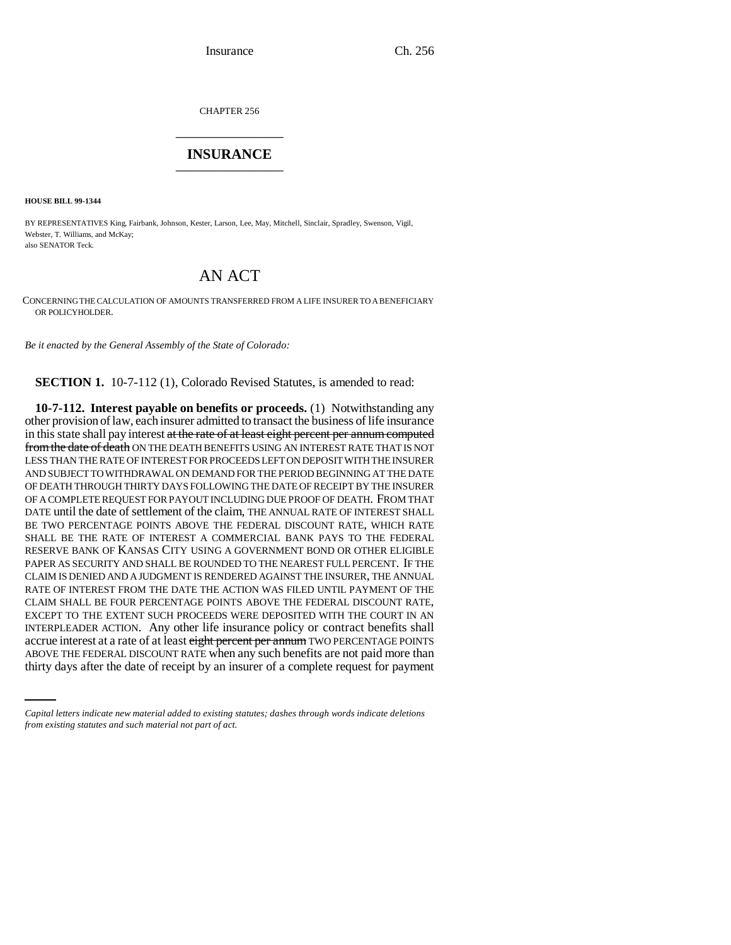CHAPTER 256 \_\_\_\_\_\_\_\_\_\_\_\_\_\_\_

## **INSURANCE** \_\_\_\_\_\_\_\_\_\_\_\_\_\_\_

**HOUSE BILL 99-1344** 

BY REPRESENTATIVES King, Fairbank, Johnson, Kester, Larson, Lee, May, Mitchell, Sinclair, Spradley, Swenson, Vigil, Webster, T. Williams, and McKay; also SENATOR Teck.

## AN ACT

CONCERNING THE CALCULATION OF AMOUNTS TRANSFERRED FROM A LIFE INSURER TO A BENEFICIARY OR POLICYHOLDER.

*Be it enacted by the General Assembly of the State of Colorado:*

**SECTION 1.** 10-7-112 (1), Colorado Revised Statutes, is amended to read:

accrue interest at a rate of at least eight percent per annum TWO PERCENTAGE POINTS **10-7-112. Interest payable on benefits or proceeds.** (1) Notwithstanding any other provision of law, each insurer admitted to transact the business of life insurance in this state shall pay interest at the rate of at least eight percent per annum computed from the date of death ON THE DEATH BENEFITS USING AN INTEREST RATE THAT IS NOT LESS THAN THE RATE OF INTEREST FOR PROCEEDS LEFT ON DEPOSIT WITH THE INSURER AND SUBJECT TO WITHDRAWAL ON DEMAND FOR THE PERIOD BEGINNING AT THE DATE OF DEATH THROUGH THIRTY DAYS FOLLOWING THE DATE OF RECEIPT BY THE INSURER OF A COMPLETE REQUEST FOR PAYOUT INCLUDING DUE PROOF OF DEATH. FROM THAT DATE until the date of settlement of the claim, THE ANNUAL RATE OF INTEREST SHALL BE TWO PERCENTAGE POINTS ABOVE THE FEDERAL DISCOUNT RATE, WHICH RATE SHALL BE THE RATE OF INTEREST A COMMERCIAL BANK PAYS TO THE FEDERAL RESERVE BANK OF KANSAS CITY USING A GOVERNMENT BOND OR OTHER ELIGIBLE PAPER AS SECURITY AND SHALL BE ROUNDED TO THE NEAREST FULL PERCENT. IF THE CLAIM IS DENIED AND A JUDGMENT IS RENDERED AGAINST THE INSURER, THE ANNUAL RATE OF INTEREST FROM THE DATE THE ACTION WAS FILED UNTIL PAYMENT OF THE CLAIM SHALL BE FOUR PERCENTAGE POINTS ABOVE THE FEDERAL DISCOUNT RATE, EXCEPT TO THE EXTENT SUCH PROCEEDS WERE DEPOSITED WITH THE COURT IN AN INTERPLEADER ACTION. Any other life insurance policy or contract benefits shall ABOVE THE FEDERAL DISCOUNT RATE when any such benefits are not paid more than thirty days after the date of receipt by an insurer of a complete request for payment

*Capital letters indicate new material added to existing statutes; dashes through words indicate deletions from existing statutes and such material not part of act.*